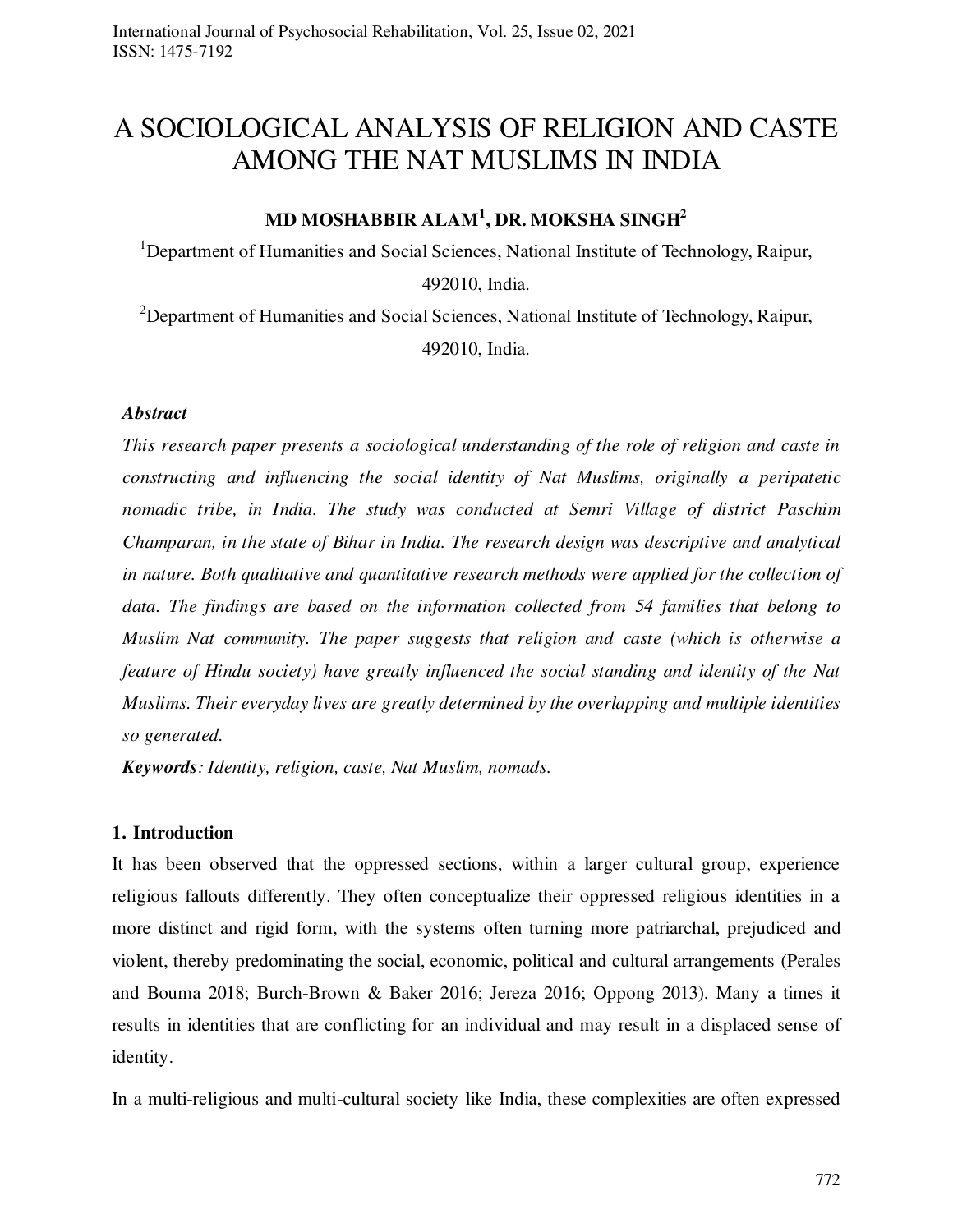# A SOCIOLOGICAL ANALYSIS OF RELIGION AND CASTE AMONG THE NAT MUSLIMS IN INDIA

# **MD MOSHABBIR ALAM<sup>1</sup> , DR. MOKSHA SINGH<sup>2</sup>**

<sup>1</sup>Department of Humanities and Social Sciences, National Institute of Technology, Raipur, 492010, India.

<sup>2</sup>Department of Humanities and Social Sciences, National Institute of Technology, Raipur, 492010, India.

# *Abstract*

*This research paper presents a sociological understanding of the role of religion and caste in constructing and influencing the social identity of Nat Muslims, originally a peripatetic nomadic tribe, in India. The study was conducted at Semri Village of district Paschim Champaran, in the state of Bihar in India. The research design was descriptive and analytical in nature. Both qualitative and quantitative research methods were applied for the collection of data. The findings are based on the information collected from 54 families that belong to Muslim Nat community. The paper suggests that religion and caste (which is otherwise a feature of Hindu society) have greatly influenced the social standing and identity of the Nat Muslims. Their everyday lives are greatly determined by the overlapping and multiple identities so generated.* 

*Keywords: Identity, religion, caste, Nat Muslim, nomads.* 

# **1. Introduction**

It has been observed that the oppressed sections, within a larger cultural group, experience religious fallouts differently. They often conceptualize their oppressed religious identities in a more distinct and rigid form, with the systems often turning more patriarchal, prejudiced and violent, thereby predominating the social, economic, political and cultural arrangements (Perales and Bouma 2018; Burch-Brown & Baker 2016; Jereza 2016; Oppong 2013). Many a times it results in identities that are conflicting for an individual and may result in a displaced sense of identity.

In a multi-religious and multi-cultural society like India, these complexities are often expressed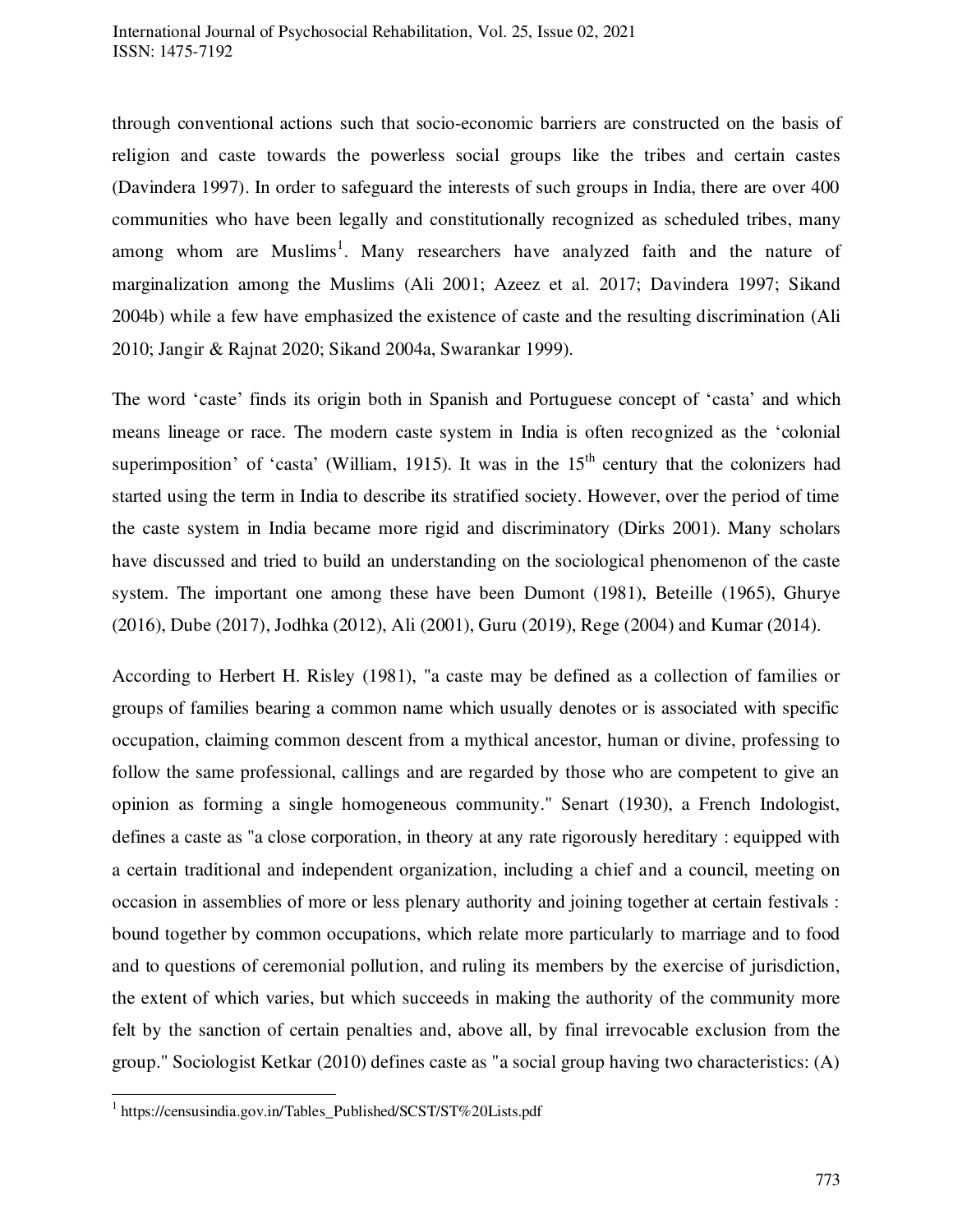through conventional actions such that socio-economic barriers are constructed on the basis of religion and caste towards the powerless social groups like the tribes and certain castes (Davindera 1997). In order to safeguard the interests of such groups in India, there are over 400 communities who have been legally and constitutionally recognized as scheduled tribes, many among whom are Muslims<sup>1</sup>. Many researchers have analyzed faith and the nature of marginalization among the Muslims (Ali 2001; Azeez et al. 2017; Davindera 1997; Sikand 2004b) while a few have emphasized the existence of caste and the resulting discrimination (Ali 2010; Jangir & Rajnat 2020; Sikand 2004a, Swarankar 1999).

The word 'caste' finds its origin both in Spanish and Portuguese concept of 'casta' and which means lineage or race. The modern caste system in India is often recognized as the 'colonial superimposition' of 'casta' (William, 1915). It was in the  $15<sup>th</sup>$  century that the colonizers had started using the term in India to describe its stratified society. However, over the period of time the caste system in India became more rigid and discriminatory (Dirks 2001). Many scholars have discussed and tried to build an understanding on the sociological phenomenon of the caste system. The important one among these have been Dumont (1981), Beteille (1965), Ghurye (2016), Dube (2017), Jodhka (2012), Ali (2001), Guru (2019), Rege (2004) and Kumar (2014).

According to Herbert H. Risley (1981), "a caste may be defined as a collection of families or groups of families bearing a common name which usually denotes or is associated with specific occupation, claiming common descent from a mythical ancestor, human or divine, professing to follow the same professional, callings and are regarded by those who are competent to give an opinion as forming a single homogeneous community." Senart (1930), a French Indologist, defines a caste as "a close corporation, in theory at any rate rigorously hereditary : equipped with a certain traditional and independent organization, including a chief and a council, meeting on occasion in assemblies of more or less plenary authority and joining together at certain festivals : bound together by common occupations, which relate more particularly to marriage and to food and to questions of ceremonial pollution, and ruling its members by the exercise of jurisdiction, the extent of which varies, but which succeeds in making the authority of the community more felt by the sanction of certain penalties and, above all, by final irrevocable exclusion from the group." Sociologist Ketkar (2010) defines caste as "a social group having two characteristics: (A)

 $\overline{a}$ 

<sup>1</sup> https://censusindia.gov.in/Tables\_Published/SCST/ST%20Lists.pdf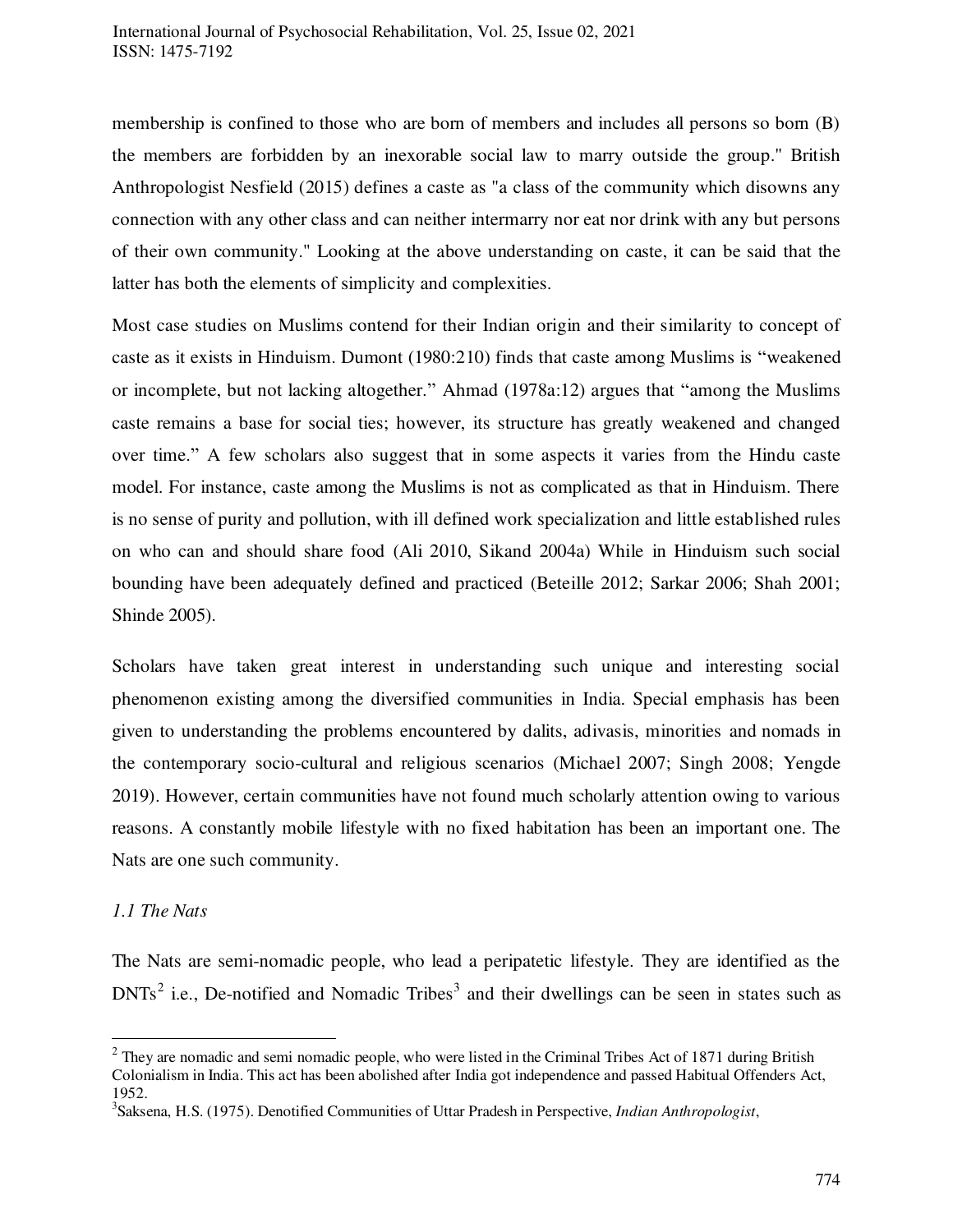membership is confined to those who are born of members and includes all persons so born (B) the members are forbidden by an inexorable social law to marry outside the group." British Anthropologist Nesfield (2015) defines a caste as "a class of the community which disowns any connection with any other class and can neither intermarry nor eat nor drink with any but persons of their own community." Looking at the above understanding on caste, it can be said that the latter has both the elements of simplicity and complexities.

Most case studies on Muslims contend for their Indian origin and their similarity to concept of caste as it exists in Hinduism. Dumont (1980:210) finds that caste among Muslims is "weakened or incomplete, but not lacking altogether." Ahmad (1978a:12) argues that "among the Muslims caste remains a base for social ties; however, its structure has greatly weakened and changed over time." A few scholars also suggest that in some aspects it varies from the Hindu caste model. For instance, caste among the Muslims is not as complicated as that in Hinduism. There is no sense of purity and pollution, with ill defined work specialization and little established rules on who can and should share food (Ali 2010, Sikand 2004a) While in Hinduism such social bounding have been adequately defined and practiced (Beteille 2012; Sarkar 2006; Shah 2001; Shinde 2005).

Scholars have taken great interest in understanding such unique and interesting social phenomenon existing among the diversified communities in India. Special emphasis has been given to understanding the problems encountered by dalits, adivasis, minorities and nomads in the contemporary socio-cultural and religious scenarios (Michael 2007; Singh 2008; Yengde 2019). However, certain communities have not found much scholarly attention owing to various reasons. A constantly mobile lifestyle with no fixed habitation has been an important one. The Nats are one such community.

# *1.1 The Nats*

 $\overline{a}$ 

The Nats are semi-nomadic people, who lead a peripatetic lifestyle. They are identified as the  $DNTs<sup>2</sup>$  i.e., De-notified and Nomadic Tribes<sup>3</sup> and their dwellings can be seen in states such as

 $2$  They are nomadic and semi nomadic people, who were listed in the Criminal Tribes Act of 1871 during British Colonialism in India. This act has been abolished after India got independence and passed Habitual Offenders Act, 1952.

<sup>3</sup> Saksena, H.S. (1975). Denotified Communities of Uttar Pradesh in Perspective, *Indian Anthropologist*,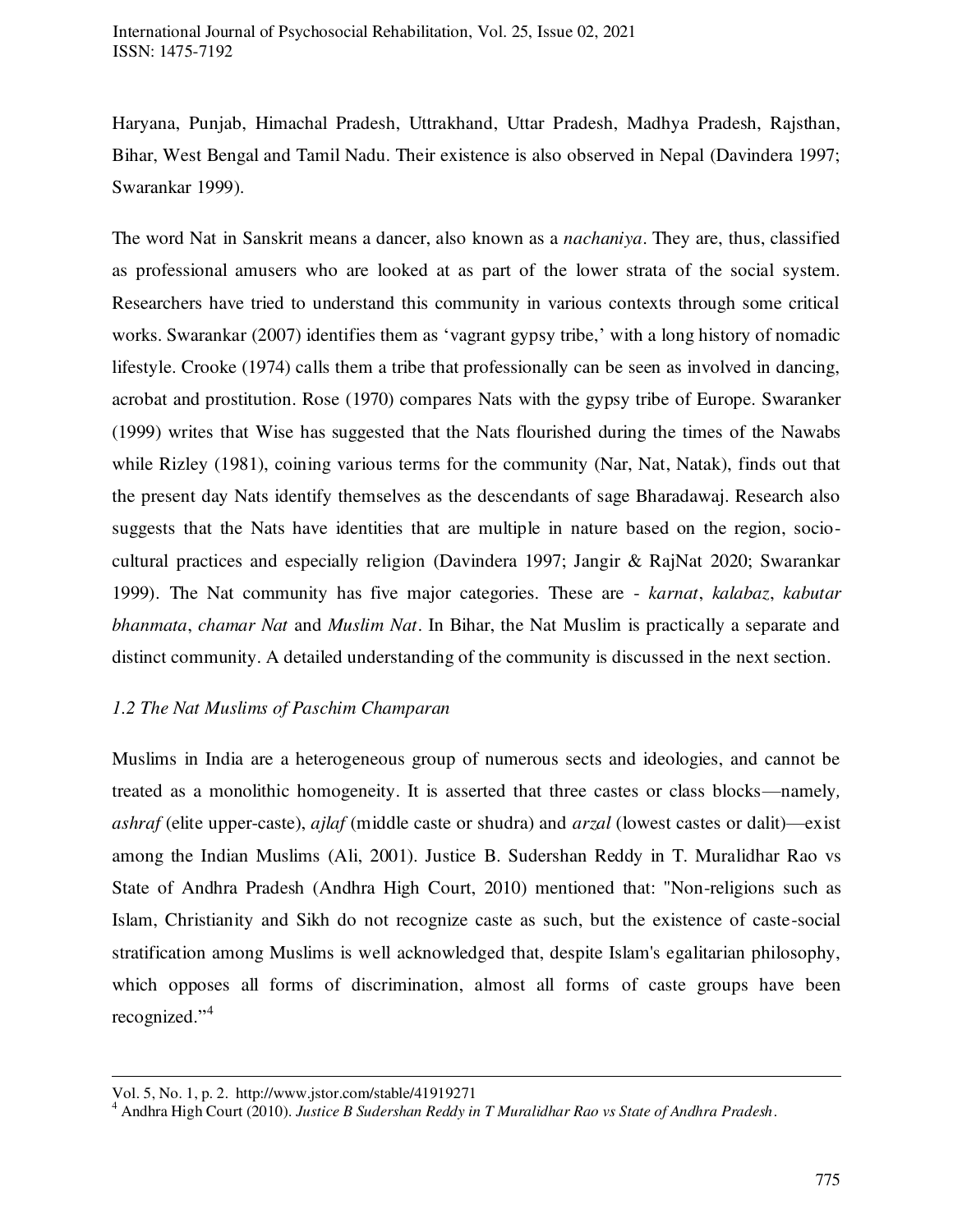Haryana, Punjab, Himachal Pradesh, Uttrakhand, Uttar Pradesh, Madhya Pradesh, Rajsthan, Bihar, West Bengal and Tamil Nadu. Their existence is also observed in Nepal (Davindera 1997; Swarankar 1999).

The word Nat in Sanskrit means a dancer, also known as a *nachaniya*. They are, thus, classified as professional amusers who are looked at as part of the lower strata of the social system. Researchers have tried to understand this community in various contexts through some critical works. Swarankar (2007) identifies them as 'vagrant gypsy tribe,' with a long history of nomadic lifestyle. Crooke (1974) calls them a tribe that professionally can be seen as involved in dancing, acrobat and prostitution. Rose (1970) compares Nats with the gypsy tribe of Europe. Swaranker (1999) writes that Wise has suggested that the Nats flourished during the times of the Nawabs while Rizley (1981), coining various terms for the community (Nar, Nat, Natak), finds out that the present day Nats identify themselves as the descendants of sage Bharadawaj. Research also suggests that the Nats have identities that are multiple in nature based on the region, sociocultural practices and especially religion (Davindera 1997; Jangir & RajNat 2020; Swarankar 1999). The Nat community has five major categories. These are - *karnat*, *kalabaz*, *kabutar bhanmata*, *chamar Nat* and *Muslim Nat*. In Bihar, the Nat Muslim is practically a separate and distinct community. A detailed understanding of the community is discussed in the next section.

# *1.2 The Nat Muslims of Paschim Champaran*

Muslims in India are a heterogeneous group of numerous sects and ideologies, and cannot be treated as a monolithic homogeneity. It is asserted that three castes or class blocks—namely*, ashraf* (elite upper-caste), *ajlaf* (middle caste or shudra) and *arzal* (lowest castes or dalit)—exist among the Indian Muslims (Ali, 2001). Justice B. Sudershan Reddy in T. Muralidhar Rao vs State of Andhra Pradesh (Andhra High Court, 2010) mentioned that: "Non-religions such as Islam, Christianity and Sikh do not recognize caste as such, but the existence of caste-social stratification among Muslims is well acknowledged that, despite Islam's egalitarian philosophy, which opposes all forms of discrimination, almost all forms of caste groups have been recognized." 4

 $\ddot{\phantom{a}}$ Vol. 5, No. 1, p. 2. http://www.jstor.com/stable/41919271

<sup>4</sup> Andhra High Court (2010). *Justice B Sudershan Reddy in T Muralidhar Rao vs State of Andhra Pradesh*.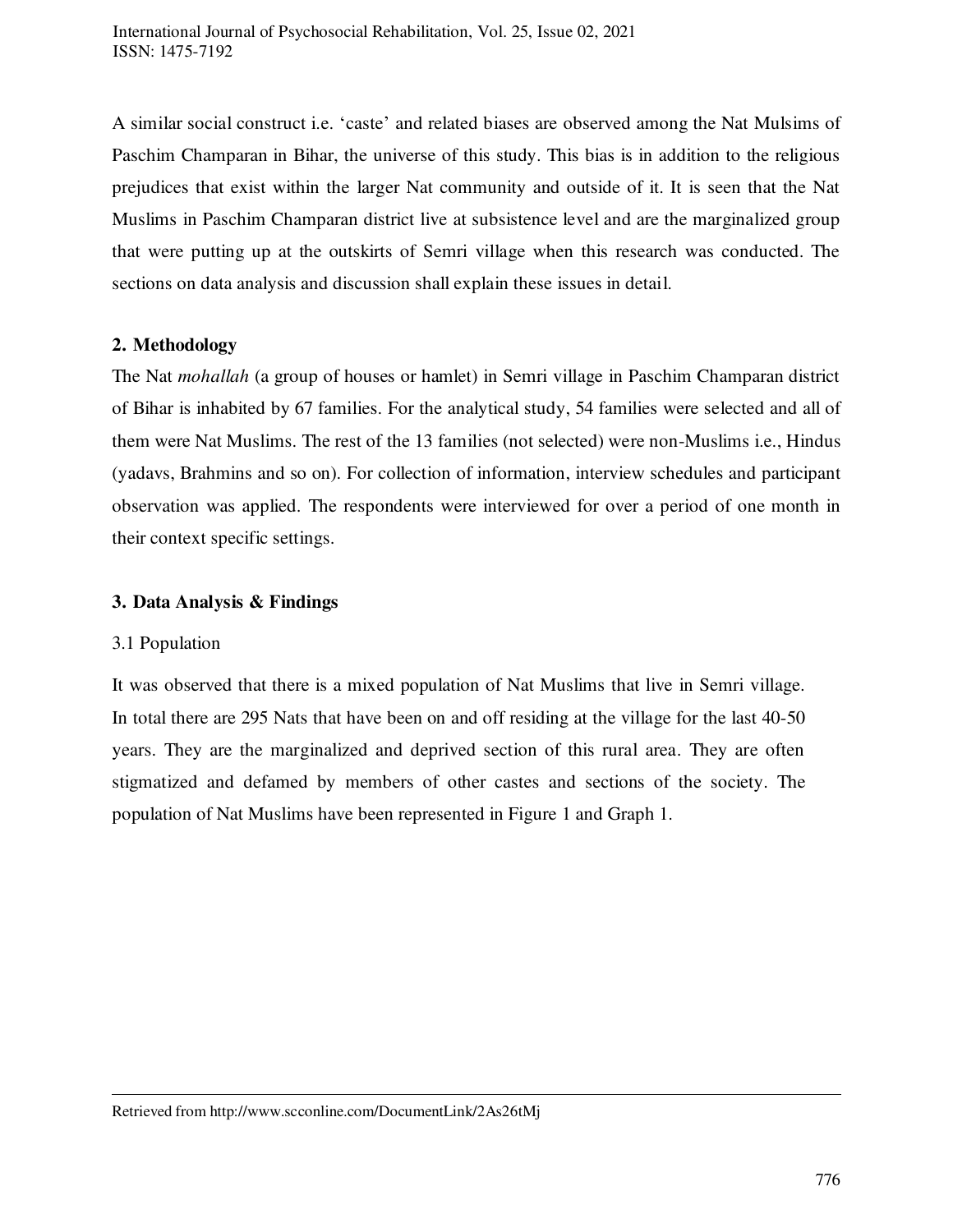A similar social construct i.e. 'caste' and related biases are observed among the Nat Mulsims of Paschim Champaran in Bihar, the universe of this study. This bias is in addition to the religious prejudices that exist within the larger Nat community and outside of it. It is seen that the Nat Muslims in Paschim Champaran district live at subsistence level and are the marginalized group that were putting up at the outskirts of Semri village when this research was conducted. The sections on data analysis and discussion shall explain these issues in detail.

# **2. Methodology**

The Nat *mohallah* (a group of houses or hamlet) in Semri village in Paschim Champaran district of Bihar is inhabited by 67 families. For the analytical study, 54 families were selected and all of them were Nat Muslims. The rest of the 13 families (not selected) were non-Muslims i.e., Hindus (yadavs, Brahmins and so on). For collection of information, interview schedules and participant observation was applied. The respondents were interviewed for over a period of one month in their context specific settings.

# **3. Data Analysis & Findings**

# 3.1 Population

 $\overline{a}$ 

It was observed that there is a mixed population of Nat Muslims that live in Semri village. In total there are 295 Nats that have been on and off residing at the village for the last 40-50 years. They are the marginalized and deprived section of this rural area. They are often stigmatized and defamed by members of other castes and sections of the society. The population of Nat Muslims have been represented in Figure 1 and Graph 1.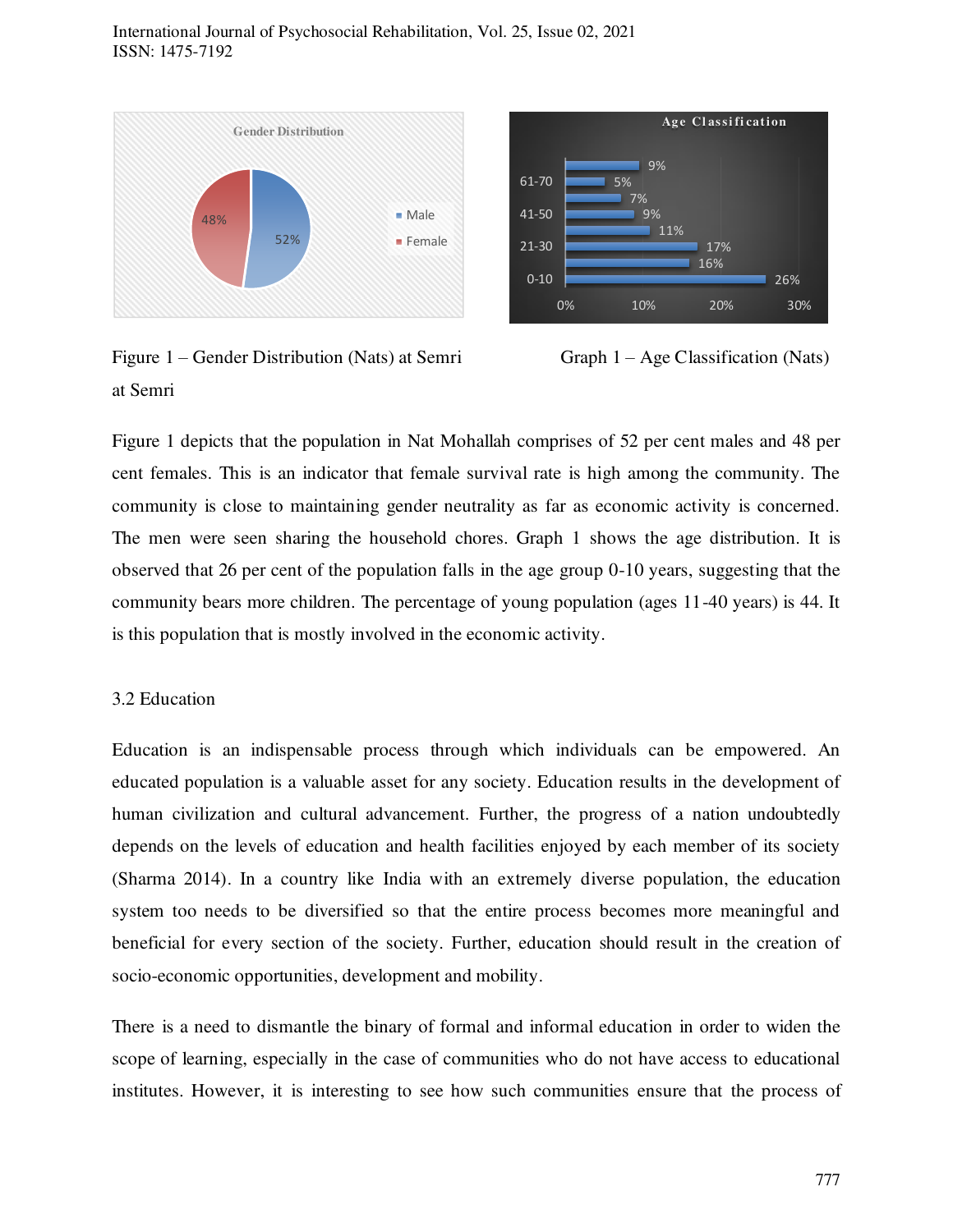



Figure 1 – Gender Distribution (Nats) at Semri Graph 1 – Age Classification (Nats) at Semri



Figure 1 depicts that the population in Nat Mohallah comprises of 52 per cent males and 48 per cent females. This is an indicator that female survival rate is high among the community. The community is close to maintaining gender neutrality as far as economic activity is concerned. The men were seen sharing the household chores. Graph 1 shows the age distribution. It is observed that 26 per cent of the population falls in the age group 0-10 years, suggesting that the community bears more children. The percentage of young population (ages 11-40 years) is 44. It is this population that is mostly involved in the economic activity.

### 3.2 Education

Education is an indispensable process through which individuals can be empowered. An educated population is a valuable asset for any society. Education results in the development of human civilization and cultural advancement. Further, the progress of a nation undoubtedly depends on the levels of education and health facilities enjoyed by each member of its society (Sharma 2014). In a country like India with an extremely diverse population, the education system too needs to be diversified so that the entire process becomes more meaningful and beneficial for every section of the society. Further, education should result in the creation of socio-economic opportunities, development and mobility.

There is a need to dismantle the binary of formal and informal education in order to widen the scope of learning, especially in the case of communities who do not have access to educational institutes. However, it is interesting to see how such communities ensure that the process of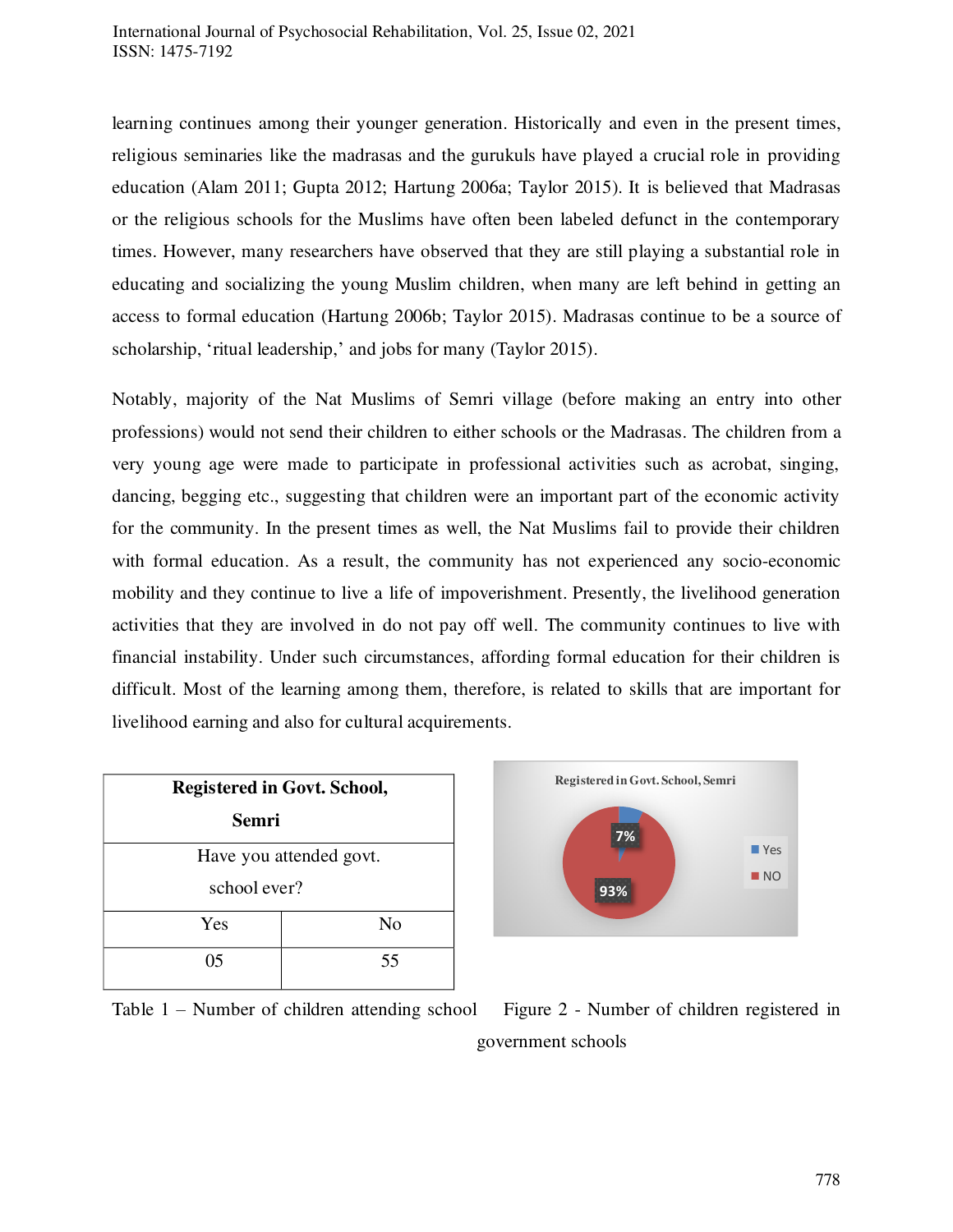learning continues among their younger generation. Historically and even in the present times, religious seminaries like the madrasas and the gurukuls have played a crucial role in providing education (Alam 2011; Gupta 2012; Hartung 2006a; Taylor 2015). It is believed that Madrasas or the religious schools for the Muslims have often been labeled defunct in the contemporary times. However, many researchers have observed that they are still playing a substantial role in educating and socializing the young Muslim children, when many are left behind in getting an access to formal education (Hartung 2006b; Taylor 2015). Madrasas continue to be a source of scholarship, 'ritual leadership,' and jobs for many (Taylor 2015).

Notably, majority of the Nat Muslims of Semri village (before making an entry into other professions) would not send their children to either schools or the Madrasas. The children from a very young age were made to participate in professional activities such as acrobat, singing, dancing, begging etc., suggesting that children were an important part of the economic activity for the community. In the present times as well, the Nat Muslims fail to provide their children with formal education. As a result, the community has not experienced any socio-economic mobility and they continue to live a life of impoverishment. Presently, the livelihood generation activities that they are involved in do not pay off well. The community continues to live with financial instability. Under such circumstances, affording formal education for their children is difficult. Most of the learning among them, therefore, is related to skills that are important for livelihood earning and also for cultural acquirements.

| <b>Registered in Govt. School,</b> |                |  |
|------------------------------------|----------------|--|
| Semri                              |                |  |
| Have you attended govt.            |                |  |
| school ever?                       |                |  |
| Yes                                | N <sub>0</sub> |  |
| 05                                 | 55             |  |

**7% 93% Registered in Govt. School, Semri Yes NO** 

Table 1 – Number of children attending school Figure 2 - Number of children registered in

government schools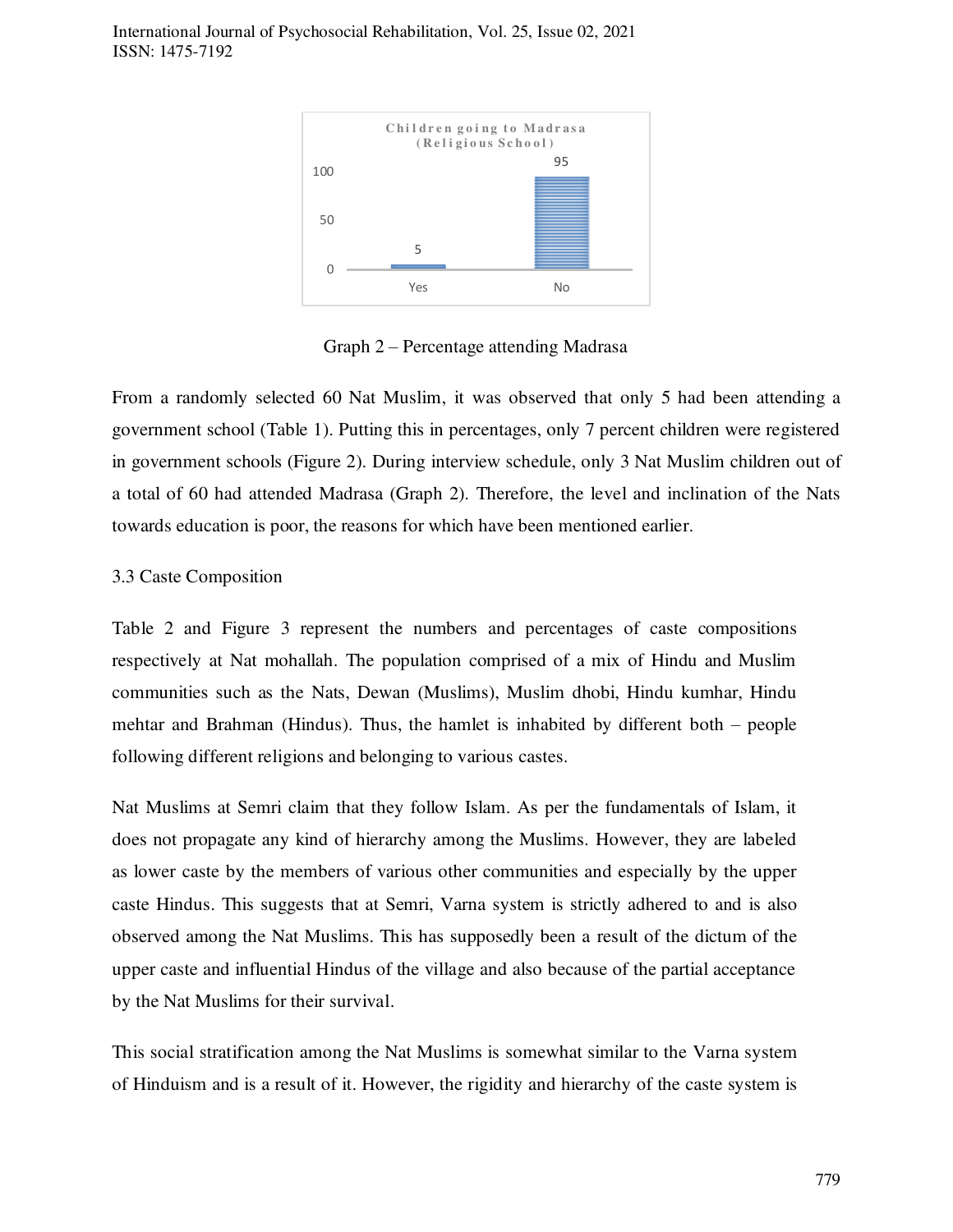International Journal of Psychosocial Rehabilitation, Vol. 25, Issue 02, 2021 ISSN: 1475-7192



Graph 2 – Percentage attending Madrasa

From a randomly selected 60 Nat Muslim, it was observed that only 5 had been attending a government school (Table 1). Putting this in percentages, only 7 percent children were registered in government schools (Figure 2). During interview schedule, only 3 Nat Muslim children out of a total of 60 had attended Madrasa (Graph 2). Therefore, the level and inclination of the Nats towards education is poor, the reasons for which have been mentioned earlier.

### 3.3 Caste Composition

Table 2 and Figure 3 represent the numbers and percentages of caste compositions respectively at Nat mohallah. The population comprised of a mix of Hindu and Muslim communities such as the Nats, Dewan (Muslims), Muslim dhobi, Hindu kumhar, Hindu mehtar and Brahman (Hindus). Thus, the hamlet is inhabited by different both – people following different religions and belonging to various castes.

Nat Muslims at Semri claim that they follow Islam. As per the fundamentals of Islam, it does not propagate any kind of hierarchy among the Muslims. However, they are labeled as lower caste by the members of various other communities and especially by the upper caste Hindus. This suggests that at Semri, Varna system is strictly adhered to and is also observed among the Nat Muslims. This has supposedly been a result of the dictum of the upper caste and influential Hindus of the village and also because of the partial acceptance by the Nat Muslims for their survival.

This social stratification among the Nat Muslims is somewhat similar to the Varna system of Hinduism and is a result of it. However, the rigidity and hierarchy of the caste system is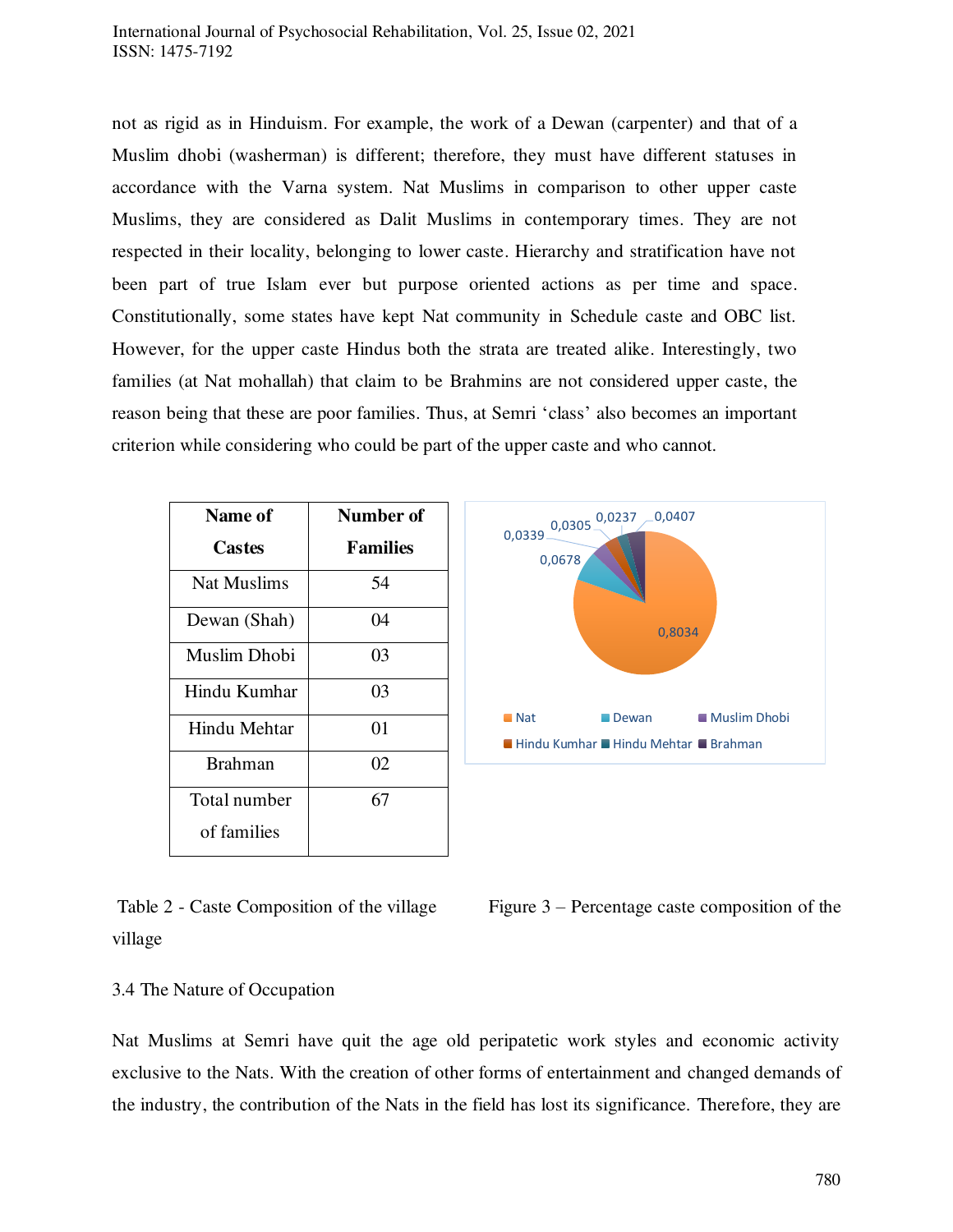### International Journal of Psychosocial Rehabilitation, Vol. 25, Issue 02, 2021 ISSN: 1475-7192

not as rigid as in Hinduism. For example, the work of a Dewan (carpenter) and that of a Muslim dhobi (washerman) is different; therefore, they must have different statuses in accordance with the Varna system. Nat Muslims in comparison to other upper caste Muslims, they are considered as Dalit Muslims in contemporary times. They are not respected in their locality, belonging to lower caste. Hierarchy and stratification have not been part of true Islam ever but purpose oriented actions as per time and space. Constitutionally, some states have kept Nat community in Schedule caste and OBC list. However, for the upper caste Hindus both the strata are treated alike. Interestingly, two families (at Nat mohallah) that claim to be Brahmins are not considered upper caste, the reason being that these are poor families. Thus, at Semri 'class' also becomes an important criterion while considering who could be part of the upper caste and who cannot.

| Name of      | <b>Number of</b> |
|--------------|------------------|
| Castes       | <b>Families</b>  |
| Nat Muslims  | 54               |
| Dewan (Shah) | 04               |
| Muslim Dhobi | 03               |
| Hindu Kumhar | 03               |
| Hindu Mehtar | 01               |
| Brahman      | 02               |
| Total number | 67               |
| of families  |                  |





# 3.4 The Nature of Occupation

Nat Muslims at Semri have quit the age old peripatetic work styles and economic activity exclusive to the Nats. With the creation of other forms of entertainment and changed demands of the industry, the contribution of the Nats in the field has lost its significance. Therefore, they are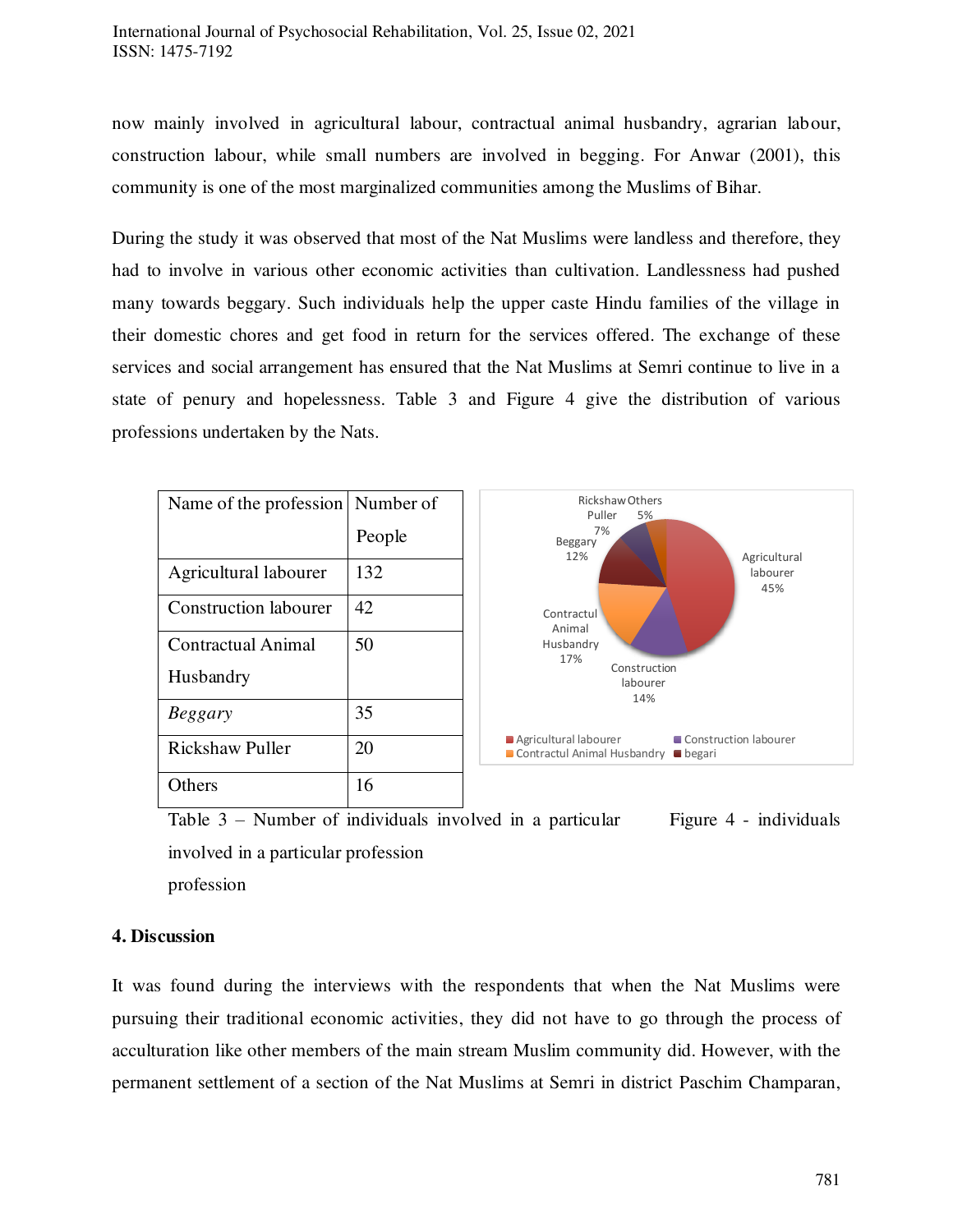now mainly involved in agricultural labour, contractual animal husbandry, agrarian labour, construction labour, while small numbers are involved in begging. For Anwar (2001), this community is one of the most marginalized communities among the Muslims of Bihar.

During the study it was observed that most of the Nat Muslims were landless and therefore, they had to involve in various other economic activities than cultivation. Landlessness had pushed many towards beggary. Such individuals help the upper caste Hindu families of the village in their domestic chores and get food in return for the services offered. The exchange of these services and social arrangement has ensured that the Nat Muslims at Semri continue to live in a state of penury and hopelessness. Table 3 and Figure 4 give the distribution of various professions undertaken by the Nats.

| Name of the profession    | Number of |
|---------------------------|-----------|
|                           | People    |
| Agricultural labourer     | 132       |
| Construction labourer     | 42        |
| <b>Contractual Animal</b> | 50        |
| Husbandry                 |           |
| <b>Beggary</b>            | 35        |
| Rickshaw Puller           | 20        |
| thers)                    | 16        |



Table  $3$  – Number of individuals involved in a particular Figure 4 - individuals involved in a particular profession profession

# **4. Discussion**

It was found during the interviews with the respondents that when the Nat Muslims were pursuing their traditional economic activities, they did not have to go through the process of acculturation like other members of the main stream Muslim community did. However, with the permanent settlement of a section of the Nat Muslims at Semri in district Paschim Champaran,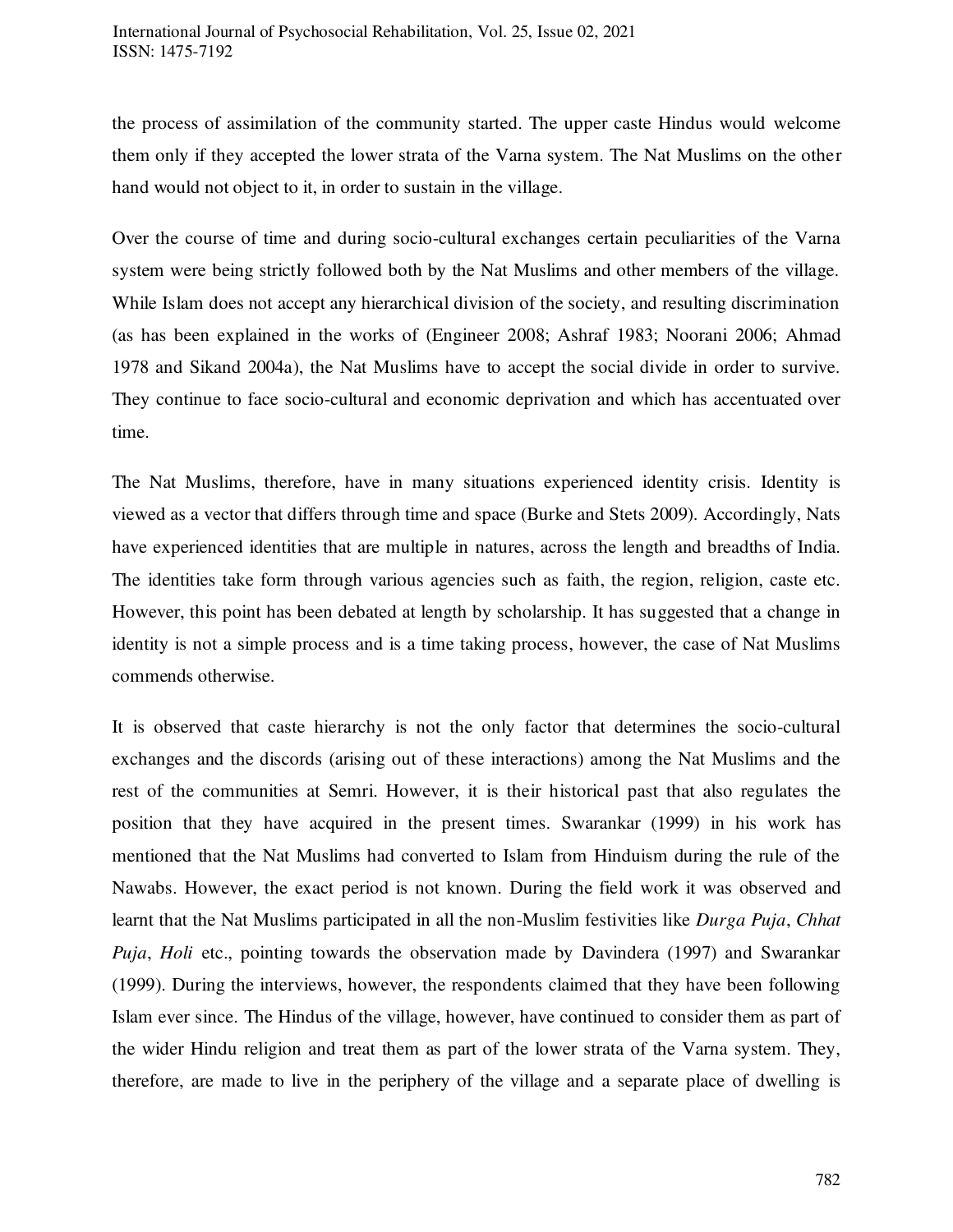the process of assimilation of the community started. The upper caste Hindus would welcome them only if they accepted the lower strata of the Varna system. The Nat Muslims on the other hand would not object to it, in order to sustain in the village.

Over the course of time and during socio-cultural exchanges certain peculiarities of the Varna system were being strictly followed both by the Nat Muslims and other members of the village. While Islam does not accept any hierarchical division of the society, and resulting discrimination (as has been explained in the works of (Engineer 2008; Ashraf 1983; Noorani 2006; Ahmad 1978 and Sikand 2004a), the Nat Muslims have to accept the social divide in order to survive. They continue to face socio-cultural and economic deprivation and which has accentuated over time.

The Nat Muslims, therefore, have in many situations experienced identity crisis. Identity is viewed as a vector that differs through time and space (Burke and Stets 2009). Accordingly, Nats have experienced identities that are multiple in natures, across the length and breadths of India. The identities take form through various agencies such as faith, the region, religion, caste etc. However, this point has been debated at length by scholarship. It has suggested that a change in identity is not a simple process and is a time taking process, however, the case of Nat Muslims commends otherwise.

It is observed that caste hierarchy is not the only factor that determines the socio-cultural exchanges and the discords (arising out of these interactions) among the Nat Muslims and the rest of the communities at Semri. However, it is their historical past that also regulates the position that they have acquired in the present times. Swarankar (1999) in his work has mentioned that the Nat Muslims had converted to Islam from Hinduism during the rule of the Nawabs. However, the exact period is not known. During the field work it was observed and learnt that the Nat Muslims participated in all the non-Muslim festivities like *Durga Puja*, *Chhat Puja*, *Holi* etc., pointing towards the observation made by Davindera (1997) and Swarankar (1999). During the interviews, however, the respondents claimed that they have been following Islam ever since. The Hindus of the village, however, have continued to consider them as part of the wider Hindu religion and treat them as part of the lower strata of the Varna system. They, therefore, are made to live in the periphery of the village and a separate place of dwelling is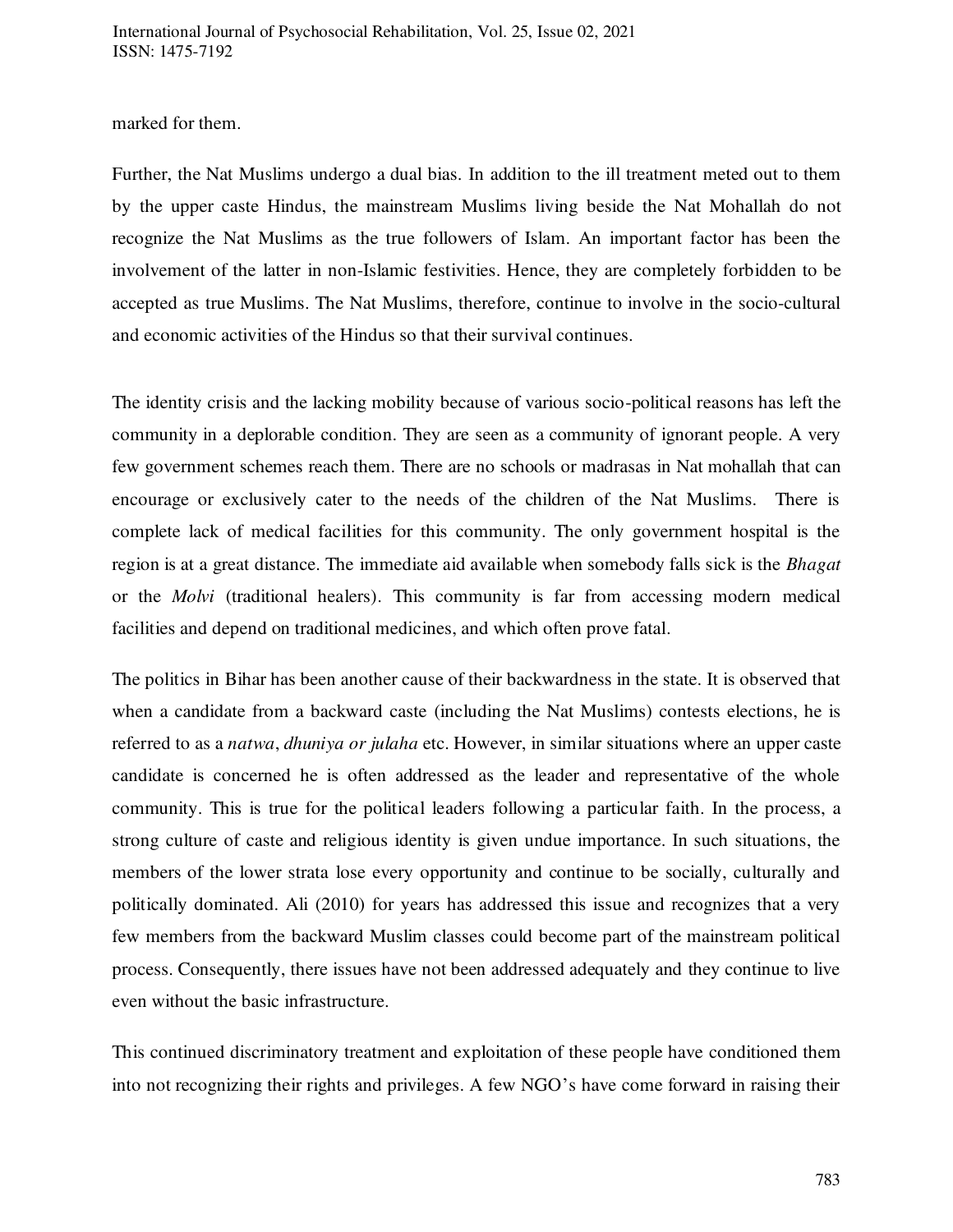marked for them.

Further, the Nat Muslims undergo a dual bias. In addition to the ill treatment meted out to them by the upper caste Hindus, the mainstream Muslims living beside the Nat Mohallah do not recognize the Nat Muslims as the true followers of Islam. An important factor has been the involvement of the latter in non-Islamic festivities. Hence, they are completely forbidden to be accepted as true Muslims. The Nat Muslims, therefore, continue to involve in the socio-cultural and economic activities of the Hindus so that their survival continues.

The identity crisis and the lacking mobility because of various socio-political reasons has left the community in a deplorable condition. They are seen as a community of ignorant people. A very few government schemes reach them. There are no schools or madrasas in Nat mohallah that can encourage or exclusively cater to the needs of the children of the Nat Muslims. There is complete lack of medical facilities for this community. The only government hospital is the region is at a great distance. The immediate aid available when somebody falls sick is the *Bhagat* or the *Molvi* (traditional healers). This community is far from accessing modern medical facilities and depend on traditional medicines, and which often prove fatal.

The politics in Bihar has been another cause of their backwardness in the state. It is observed that when a candidate from a backward caste (including the Nat Muslims) contests elections, he is referred to as a *natwa*, *dhuniya or julaha* etc. However, in similar situations where an upper caste candidate is concerned he is often addressed as the leader and representative of the whole community. This is true for the political leaders following a particular faith. In the process, a strong culture of caste and religious identity is given undue importance. In such situations, the members of the lower strata lose every opportunity and continue to be socially, culturally and politically dominated. Ali (2010) for years has addressed this issue and recognizes that a very few members from the backward Muslim classes could become part of the mainstream political process. Consequently, there issues have not been addressed adequately and they continue to live even without the basic infrastructure.

This continued discriminatory treatment and exploitation of these people have conditioned them into not recognizing their rights and privileges. A few NGO's have come forward in raising their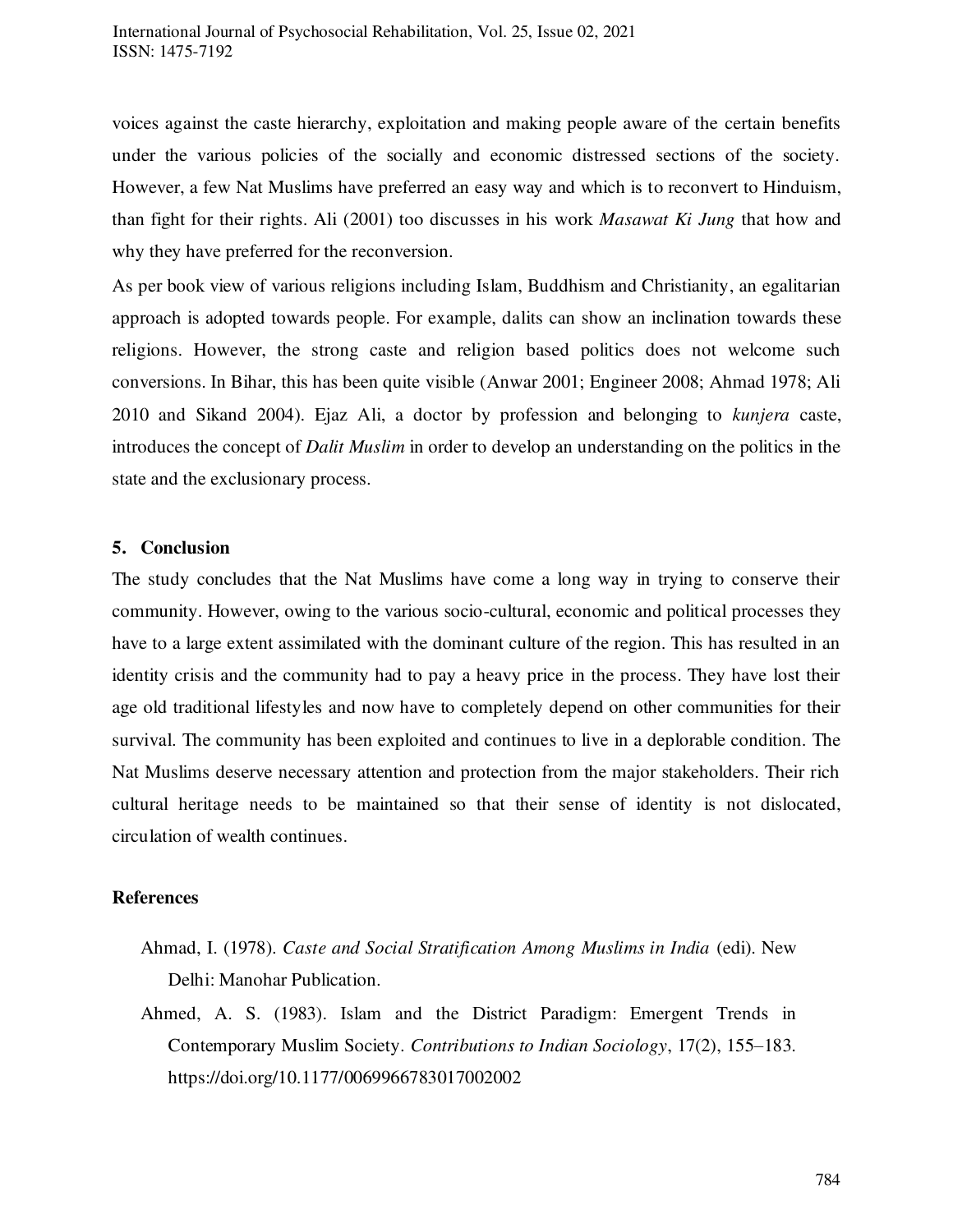voices against the caste hierarchy, exploitation and making people aware of the certain benefits under the various policies of the socially and economic distressed sections of the society. However, a few Nat Muslims have preferred an easy way and which is to reconvert to Hinduism, than fight for their rights. Ali (2001) too discusses in his work *Masawat Ki Jung* that how and why they have preferred for the reconversion.

As per book view of various religions including Islam, Buddhism and Christianity, an egalitarian approach is adopted towards people. For example, dalits can show an inclination towards these religions. However, the strong caste and religion based politics does not welcome such conversions. In Bihar, this has been quite visible (Anwar 2001; Engineer 2008; Ahmad 1978; Ali 2010 and Sikand 2004). Ejaz Ali, a doctor by profession and belonging to *kunjera* caste, introduces the concept of *Dalit Muslim* in order to develop an understanding on the politics in the state and the exclusionary process.

# **5. Conclusion**

The study concludes that the Nat Muslims have come a long way in trying to conserve their community. However, owing to the various socio-cultural, economic and political processes they have to a large extent assimilated with the dominant culture of the region. This has resulted in an identity crisis and the community had to pay a heavy price in the process. They have lost their age old traditional lifestyles and now have to completely depend on other communities for their survival. The community has been exploited and continues to live in a deplorable condition. The Nat Muslims deserve necessary attention and protection from the major stakeholders. Their rich cultural heritage needs to be maintained so that their sense of identity is not dislocated, circulation of wealth continues.

# **References**

- Ahmad, I. (1978). *Caste and Social Stratification Among Muslims in India* (edi). New Delhi: Manohar Publication.
- Ahmed, A. S. (1983). Islam and the District Paradigm: Emergent Trends in Contemporary Muslim Society. *Contributions to Indian Sociology*, 17(2), 155–183. https://doi.org/10.1177/0069966783017002002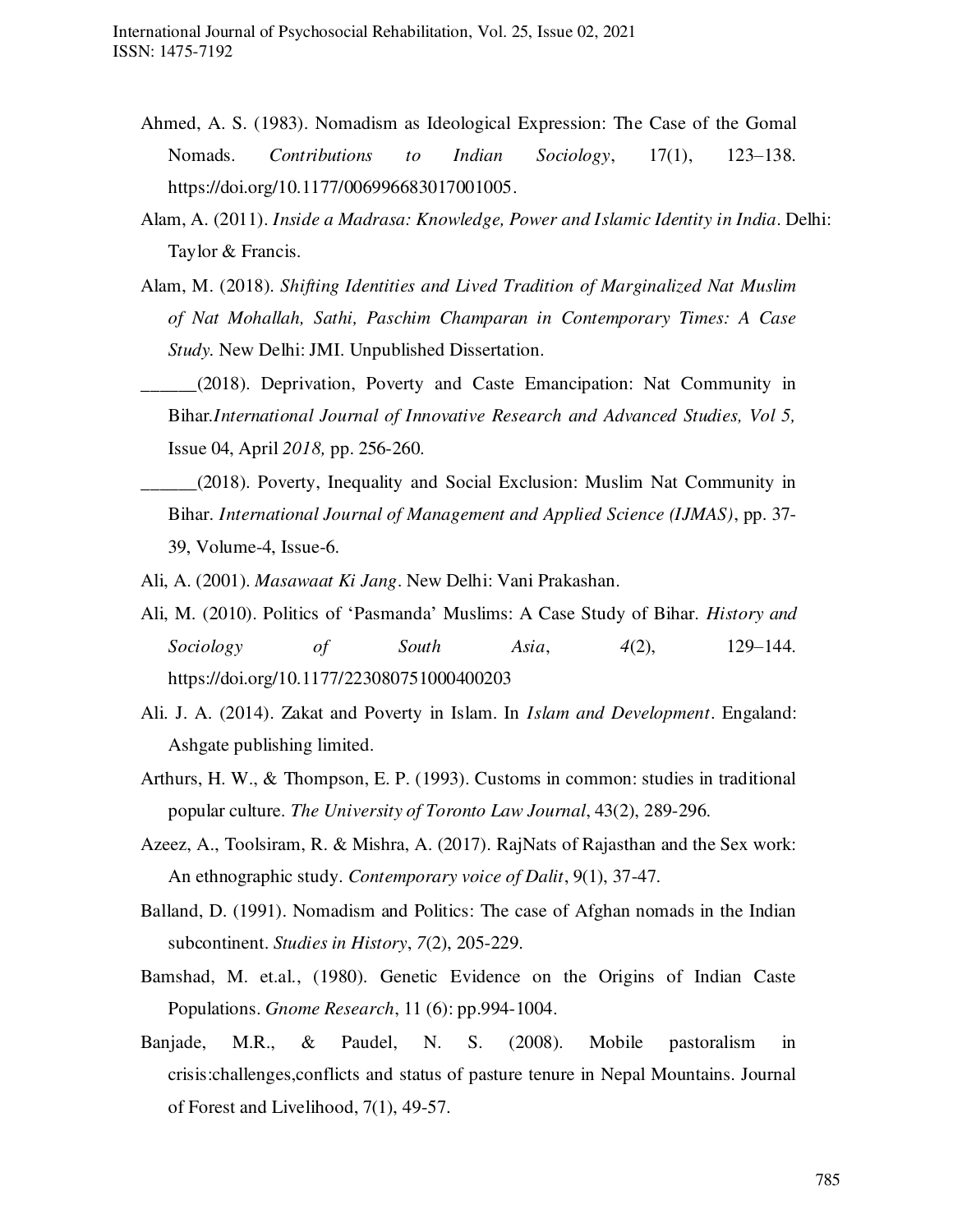- Ahmed, A. S. (1983). Nomadism as Ideological Expression: The Case of the Gomal Nomads. *Contributions to Indian Sociology*, 17(1), 123–138. [https://doi.org/10.1177/006996683017001005.](https://doi.org/10.1177/006996683017001005)
- Alam, A. (2011). *Inside a Madrasa: Knowledge, Power and Islamic Identity in India*. Delhi: Taylor & Francis.
- Alam, M. (2018). *Shifting Identities and Lived Tradition of Marginalized Nat Muslim of Nat Mohallah, Sathi, Paschim Champaran in Contemporary Times: A Case Study.* New Delhi: JMI. Unpublished Dissertation.
- \_\_\_\_\_\_(2018). Deprivation, Poverty and Caste Emancipation: Nat Community in Bihar*.International Journal of Innovative Research and Advanced Studies, Vol 5,* Issue 04, April *2018,* pp. 256-260.
- \_\_\_\_\_\_(2018). Poverty, Inequality and Social Exclusion: Muslim Nat Community in Bihar. *International Journal of Management and Applied Science (IJMAS)*, pp. 37- 39, Volume-4, Issue-6.
- Ali, A. (2001). *Masawaat Ki Jang*. New Delhi: Vani Prakashan.
- Ali, M. (2010). Politics of 'Pasmanda' Muslims: A Case Study of Bihar. *History and Sociology of South Asia*, *4*(2), 129–144. <https://doi.org/10.1177/223080751000400203>
- Ali. J. A. (2014). Zakat and Poverty in Islam. In *Islam and Development*. Engaland: Ashgate publishing limited.
- Arthurs, H. W., & Thompson, E. P. (1993). Customs in common: studies in traditional popular culture. *The University of Toronto Law Journal*, 43(2), 289-296.
- Azeez, A., Toolsiram, R. & Mishra, A. (2017). RajNats of Rajasthan and the Sex work: An ethnographic study*. Contemporary voice of Dalit*, 9(1), 37-47.
- Balland, D. (1991). Nomadism and Politics: The case of Afghan nomads in the Indian subcontinent. *Studies in History*, *7*(2), 205-229.
- Bamshad, M. et.al., (1980). Genetic Evidence on the Origins of Indian Caste Populations. *Gnome Research*, 11 (6): pp.994-1004.
- Banjade, M.R., & Paudel, N. S. (2008). Mobile pastoralism in crisis:challenges,conflicts and status of pasture tenure in Nepal Mountains. Journal of Forest and Livelihood, 7(1), 49-57.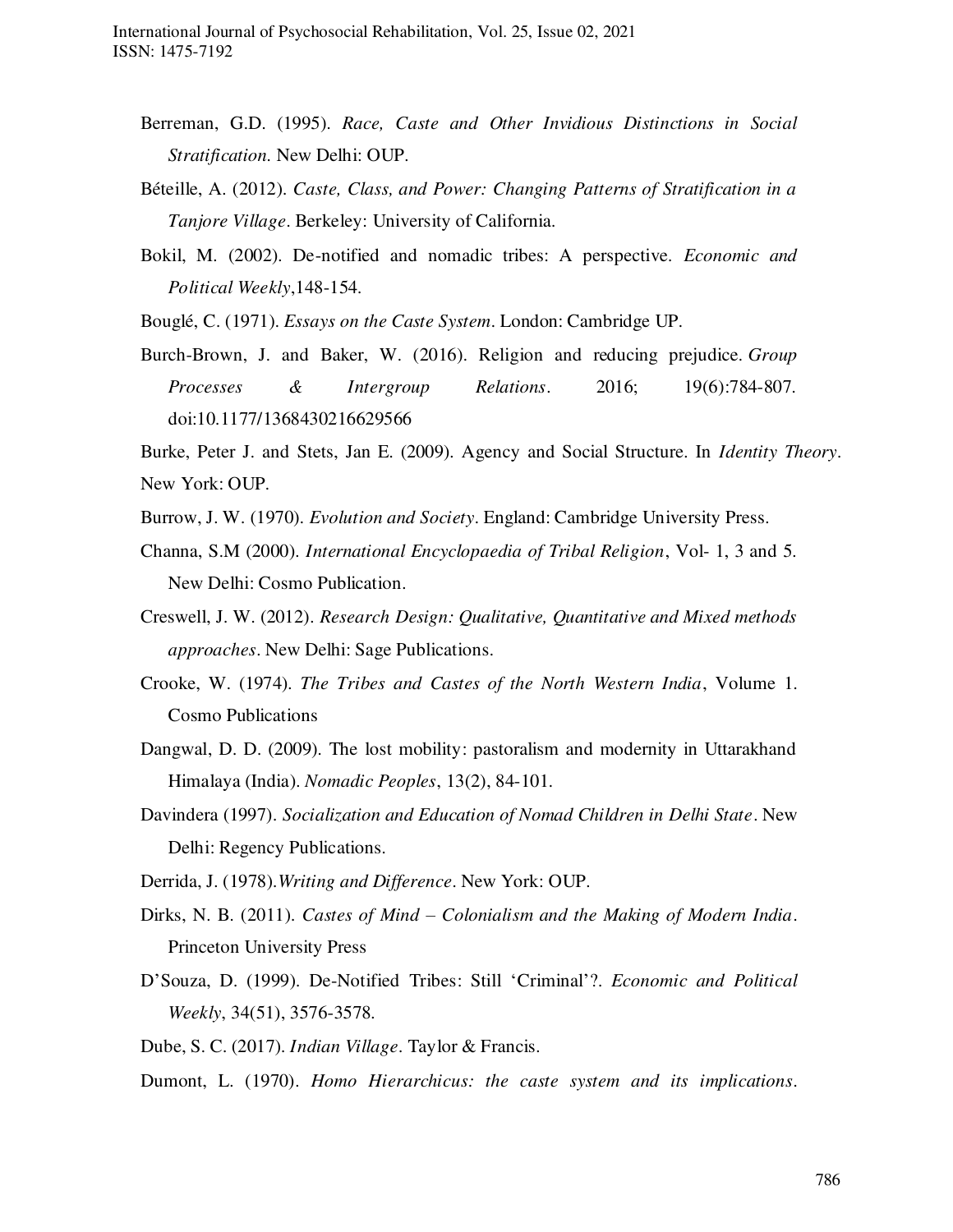- Berreman, G.D. (1995). *Race, Caste and Other Invidious Distinctions in Social Stratification.* New Delhi: OUP.
- Béteille, A. (2012). *Caste, Class, and Power: Changing Patterns of Stratification in a Tanjore Village*. Berkeley: University of California.
- Bokil, M. (2002). De-notified and nomadic tribes: A perspective. *Economic and Political Weekly*,148-154.

Bouglé, C. (1971). *Essays on the Caste System*. London: Cambridge UP.

Burch-Brown, J. and Baker, W. (2016). Religion and reducing prejudice. *Group Processes & Intergroup Relations*. 2016; 19(6):784-807. doi[:10.1177/1368430216629566](https://doi.org/10.1177/1368430216629566) 

Burke, Peter J. and Stets, Jan E. (2009). Agency and Social Structure. In *Identity Theory*. New York: OUP.

- Burrow, J. W. (1970). *Evolution and Society*. England: Cambridge University Press.
- Channa, S.M (2000). *International Encyclopaedia of Tribal Religion*, Vol- 1, 3 and 5. New Delhi: Cosmo Publication.
- Creswell, J. W. (2012). *Research Design: Qualitative, Quantitative and Mixed methods approaches*. New Delhi: Sage Publications.
- Crooke, W. (1974). *The Tribes and Castes of the North Western India*, Volume 1. Cosmo Publications
- Dangwal, D. D. (2009). The lost mobility: pastoralism and modernity in Uttarakhand Himalaya (India). *Nomadic Peoples*, 13(2), 84-101.
- Davindera (1997). *Socialization and Education of Nomad Children in Delhi State*. New Delhi: Regency Publications.
- Derrida, J. (1978).*Writing and Difference*. New York: OUP.
- Dirks, N. B. (2011). *Castes of Mind – Colonialism and the Making of Modern India*. Princeton University Press
- D'Souza, D. (1999). De-Notified Tribes: Still 'Criminal'?. *Economic and Political Weekly*, 34(51), 3576-3578.
- Dube, S. C. (2017). *Indian Village*. Taylor & Francis.
- Dumont, L. (1970). *Homo Hierarchicus: the caste system and its implications*.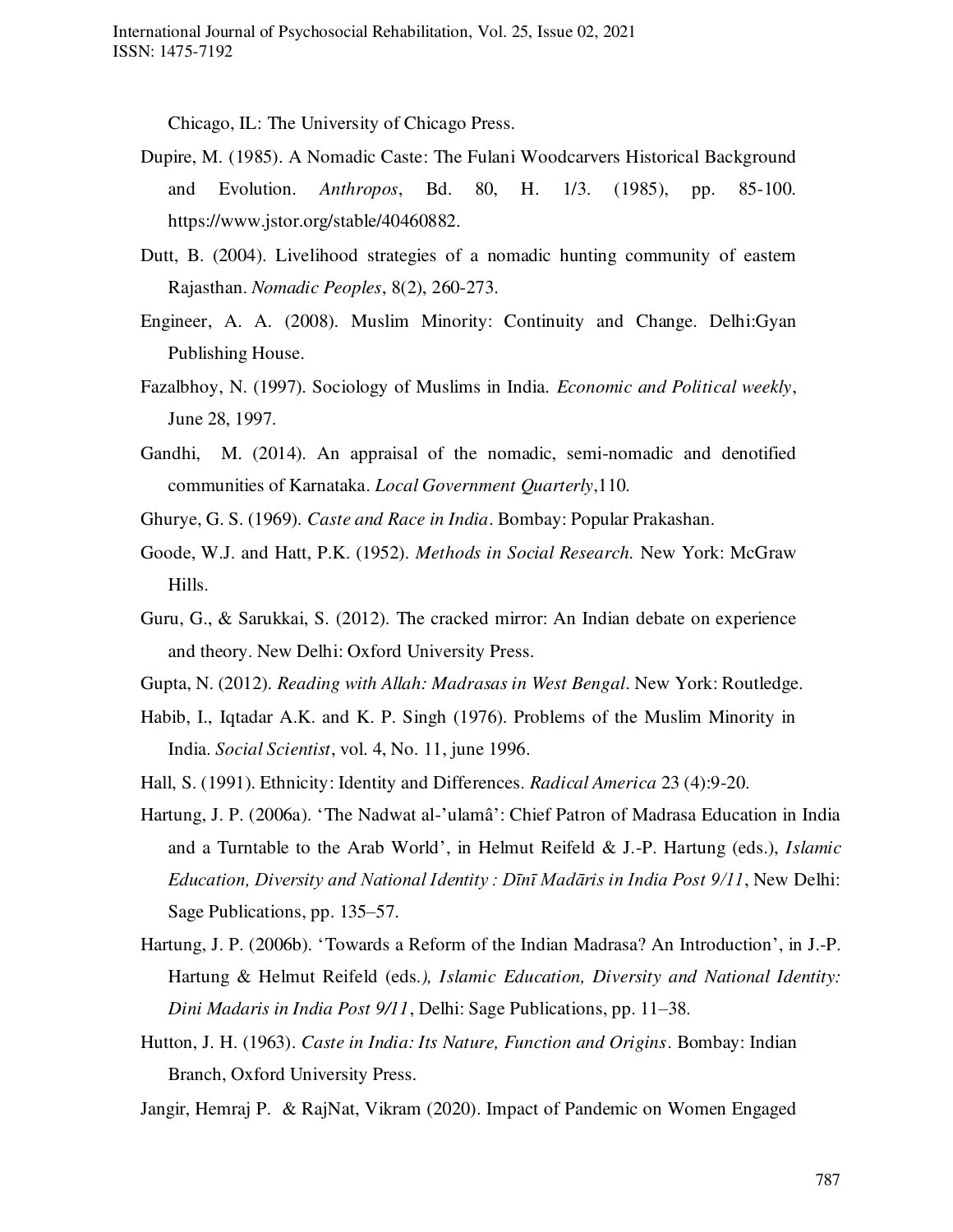Chicago, IL: The University of Chicago Press.

- Dupire, M. (1985). A Nomadic Caste: The Fulani Woodcarvers Historical Background and Evolution. *Anthropos*, Bd. 80, H. 1/3. (1985), pp. 85-100. [https://www.jstor.org/stable/40460882.](https://www.jstor.org/stable/40460882)
- Dutt, B. (2004). Livelihood strategies of a nomadic hunting community of eastern Rajasthan. *Nomadic Peoples*, 8(2), 260-273.
- Engineer, A. A. (2008). Muslim Minority: Continuity and Change. Delhi:Gyan Publishing House.
- Fazalbhoy, N. (1997). Sociology of Muslims in India. *Economic and Political weekly*, June 28, 1997.
- Gandhi, M. (2014). An appraisal of the nomadic, semi-nomadic and denotified communities of Karnataka. *Local Government Quarterly*,110.
- Ghurye, G. S. (1969). *Caste and Race in India*. Bombay: Popular Prakashan.
- Goode, W.J. and Hatt, P.K. (1952). *Methods in Social Research.* New York: McGraw Hills.
- Guru, G., & Sarukkai, S. (2012). The cracked mirror: An Indian debate on experience and theory. New Delhi: Oxford University Press.
- Gupta, N. (2012). *Reading with Allah: Madrasas in West Bengal*. New York: Routledge.
- Habib, I., Iqtadar A.K. and K. P. Singh (1976). Problems of the Muslim Minority in India. *Social Scientist*, vol. 4, No. 11, june 1996.
- Hall, S. (1991). Ethnicity: Identity and Differences. *Radical America* 23 (4):9-20.
- Hartung, J. P. (2006a). 'The Nadwat al-'ulamâ': Chief Patron of Madrasa Education in India and a Turntable to the Arab World', in Helmut Reifeld & J.-P. Hartung (eds.), *Islamic Education, Diversity and National Identity : Dīnī Madāris in India Post 9/11*, New Delhi: Sage Publications, pp. 135–57.
- Hartung, J. P. (2006b). 'Towards a Reform of the Indian Madrasa? An Introduction', in J.-P. Hartung & Helmut Reifeld (eds*.), Islamic Education, Diversity and National Identity: Dini Madaris in India Post 9/11*, Delhi: Sage Publications, pp. 11–38.
- Hutton, J. H. (1963). *Caste in India: Its Nature, Function and Origins*. Bombay: Indian Branch, Oxford University Press.
- Jangir, Hemraj P. & RajNat, Vikram (2020). Impact of Pandemic on Women Engaged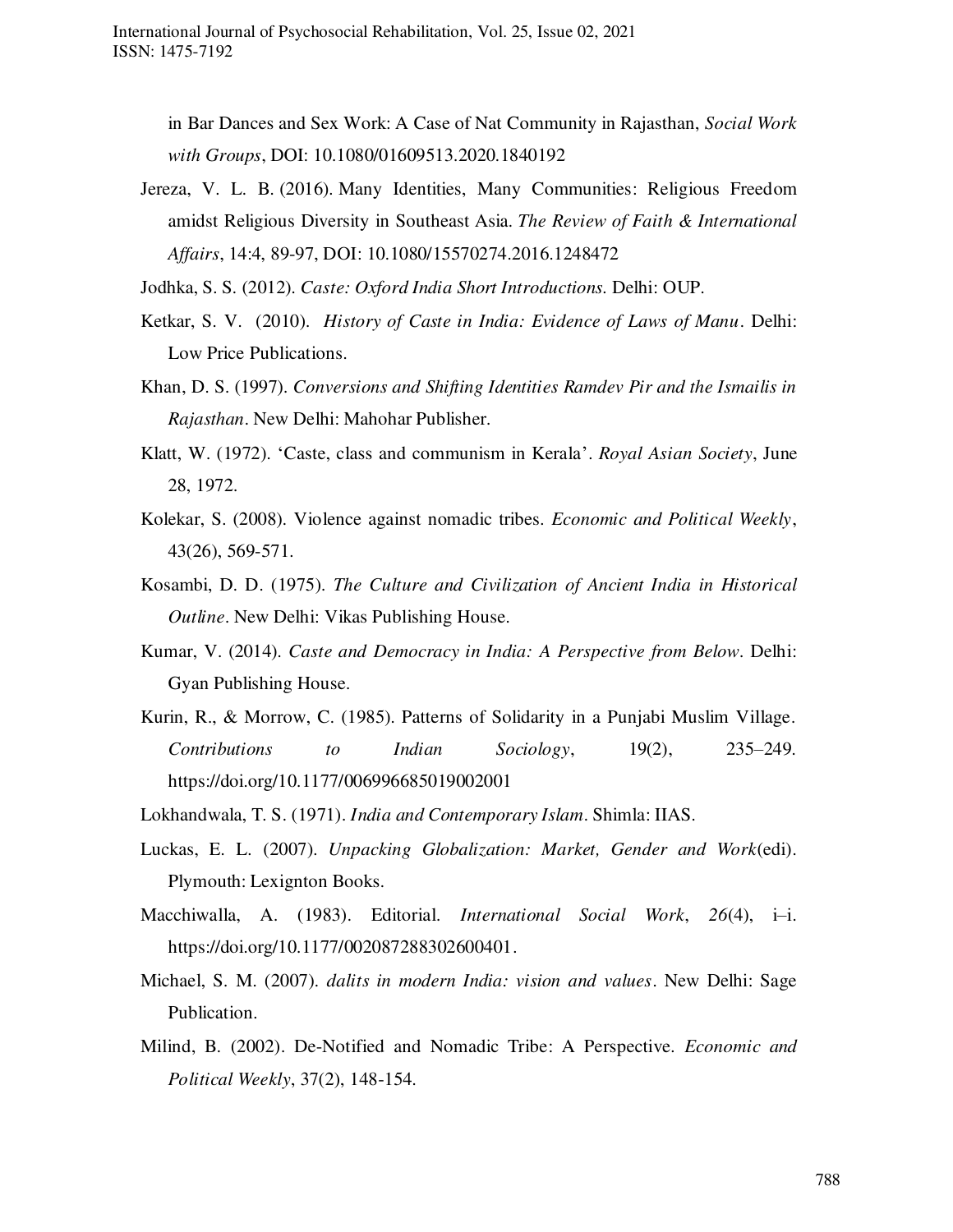in Bar Dances and Sex Work: A Case of Nat Community in Rajasthan, *Social Work with Groups*, DOI: 10.1080/01609513.2020.1840192

Jereza, V. L. B. (2016). Many Identities, Many Communities: Religious Freedom amidst Religious Diversity in Southeast Asia. *The Review of Faith & International Affairs*, 14:4, 89-97, DOI: [10.1080/15570274.2016.1248472](https://doi.org/10.1080/15570274.2016.1248472) 

Jodhka, S. S. (2012). *Caste: Oxford India Short Introductions.* Delhi: OUP.

- Ketkar, [S. V.](https://www.amazon.in/s/ref=dp_byline_sr_book_1?ie=UTF8&field-author=Shridhar+Venkatesh+Ketkar&search-alias=stripbooks) (2010). *History of Caste in India: Evidence of Laws of Manu*. Delhi: Low Price Publications.
- Khan, D. S. (1997). *Conversions and Shifting Identities Ramdev Pir and the Ismailis in Rajasthan*. New Delhi: Mahohar Publisher.
- Klatt, W. (1972). 'Caste, class and communism in Kerala'. *Royal Asian Society*, June 28, 1972.
- Kolekar, S. (2008). Violence against nomadic tribes. *Economic and Political Weekly*, 43(26), 569-571.
- Kosambi, D. D. (1975). *The Culture and Civilization of Ancient India in Historical Outline*. New Delhi: Vikas Publishing House.
- Kumar, V. (2014). *Caste and Democracy in India: A Perspective from Below*. Delhi: Gyan Publishing House.
- Kurin, R., & Morrow, C. (1985). Patterns of Solidarity in a Punjabi Muslim Village. *Contributions to Indian Sociology*, 19(2), 235–249. https://doi.org/10.1177/006996685019002001

Lokhandwala, T. S. (1971). *India and Contemporary Islam*. Shimla: IIAS.

- Luckas, E. L. (2007). *Unpacking Globalization: Market, Gender and Work*(edi). Plymouth: Lexignton Books.
- Macchiwalla, A. (1983). Editorial. *International Social Work*, *26*(4), i–i. [https://doi.org/10.1177/002087288302600401.](https://doi.org/10.1177/002087288302600401)
- Michael, S. M. (2007). *dalits in modern India: vision and values*. New Delhi: Sage Publication.
- Milind, B. (2002). De-Notified and Nomadic Tribe: A Perspective. *Economic and Political Weekly*, 37(2), 148-154.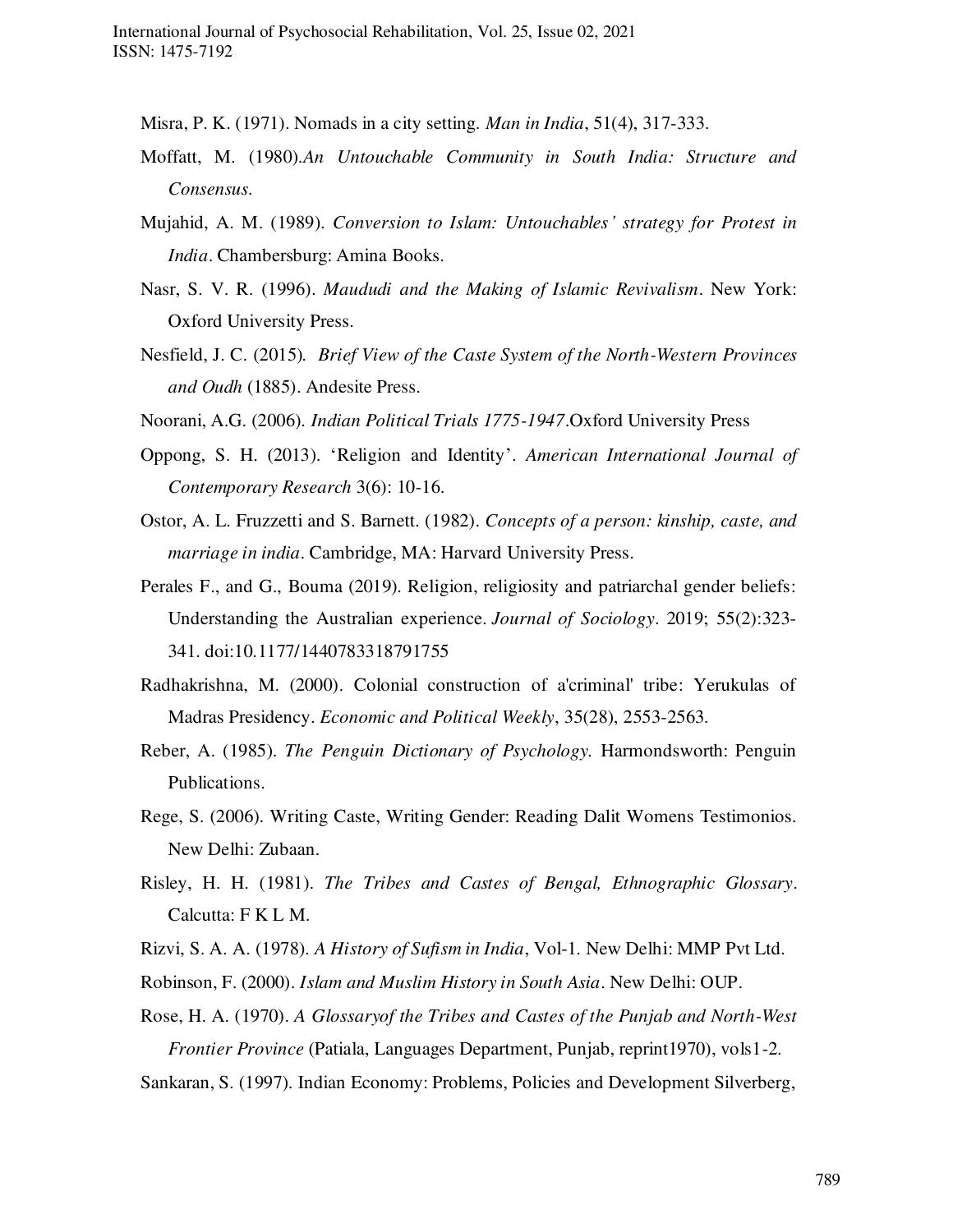- Misra, P. K. (1971). Nomads in a city setting. *Man in India*, 51(4), 317-333.
- Moffatt, M. (1980).*An Untouchable Community in South India: Structure and Consensus.*
- Mujahid, A. M. (1989). *Conversion to Islam: Untouchables' strategy for Protest in India*. Chambersburg: Amina Books.
- Nasr, S. V. R. (1996). *Maududi and the Making of Islamic Revivalism*. New York: Oxford University Press.
- Nesfield, J. C. (2015)*. Brief View of the Caste System of the North-Western Provinces and Oudh* (1885). Andesite Press.
- Noorani, A.G. (2006). *Indian Political Trials 1775-1947*.Oxford University Press
- Oppong, S. H. (2013). 'Religion and Identity'. *American International Journal of Contemporary Research* 3(6): 10-16.
- Ostor, A. L. Fruzzetti and S. Barnett. (1982). *Concepts of a person: kinship, caste, and marriage in india*. Cambridge, MA: Harvard University Press.
- Perales F., and G., Bouma (2019). Religion, religiosity and patriarchal gender beliefs: Understanding the Australian experience. *Journal of Sociology*. 2019; 55(2):323- 341. doi[:10.1177/1440783318791755](https://doi.org/10.1177/1440783318791755)
- Radhakrishna, M. (2000). Colonial construction of a'criminal' tribe: Yerukulas of Madras Presidency. *Economic and Political Weekly*, 35(28), 2553-2563.
- Reber, A. (1985). *The Penguin Dictionary of Psychology.* Harmondsworth: Penguin Publications.
- Rege, S. (2006). Writing Caste, Writing Gender: Reading Dalit Womens Testimonios. New Delhi: Zubaan.
- Risley, H. H. (1981). *The Tribes and Castes of Bengal, Ethnographic Glossary*. Calcutta: F K L M.
- Rizvi, S. A. A. (1978). *A History of Sufism in India*, Vol-1. New Delhi: MMP Pvt Ltd.
- Robinson, F. (2000). *Islam and Muslim History in South Asia*. New Delhi: OUP.
- Rose, H. A. (1970). *A Glossaryof the Tribes and Castes of the Punjab and North-West Frontier Province* (Patiala, Languages Department, Punjab, reprint1970), vols1-2.
- Sankaran, S. (1997). Indian Economy: Problems, Policies and Development Silverberg,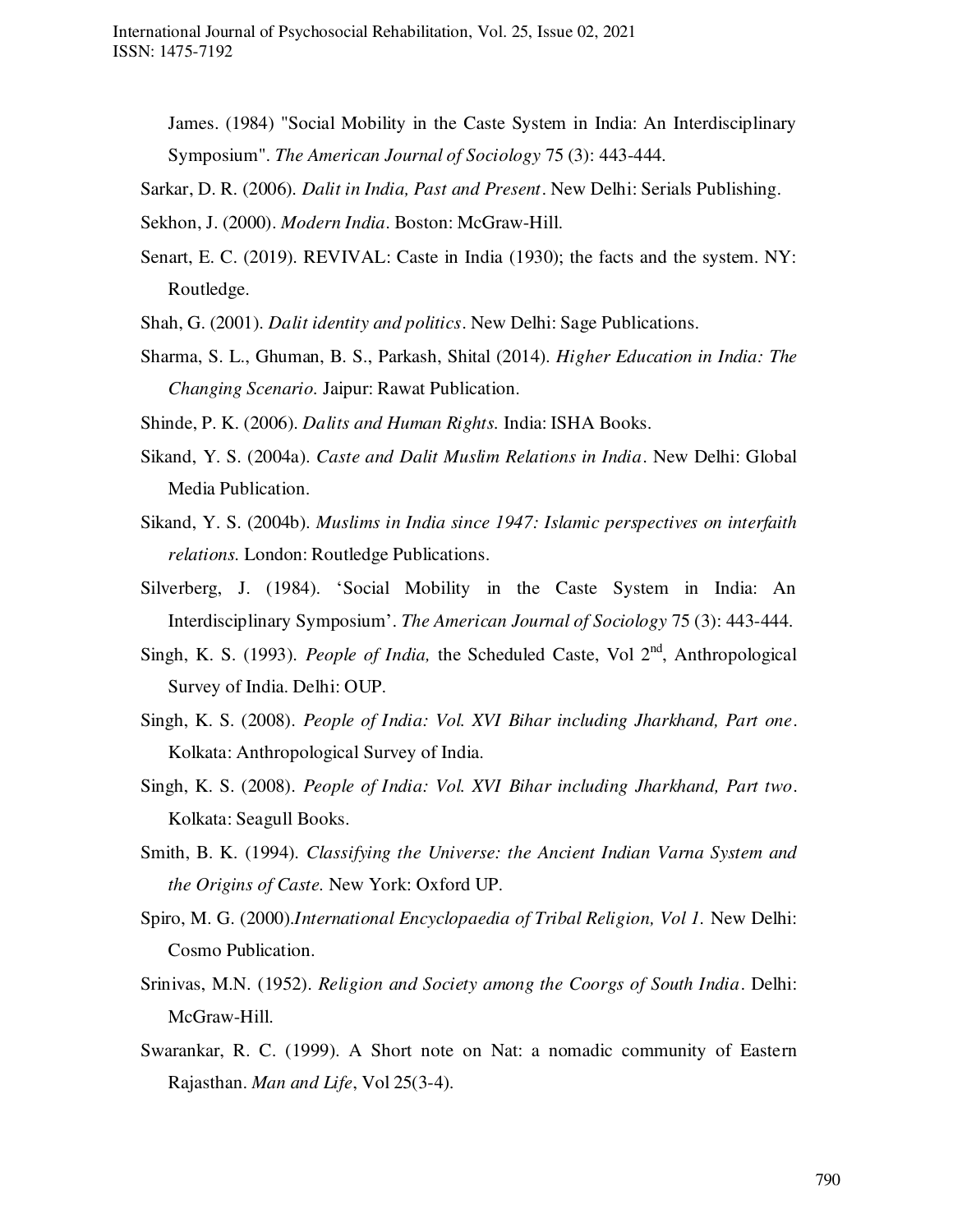James. (1984) "Social Mobility in the Caste System in India: An Interdisciplinary Symposium". *The American Journal of Sociology* 75 (3): 443-444.

Sarkar, D. R. (2006). *Dalit in India, Past and Present*. New Delhi: Serials Publishing.

Sekhon, J. (2000). *Modern India*. Boston: McGraw-Hill.

- Senart, E. C. (2019). REVIVAL: Caste in India (1930); the facts and the system. NY: Routledge.
- Shah, G. (2001). *Dalit identity and politics*. New Delhi: Sage Publications.
- Sharma, S. L., Ghuman, B. S., Parkash, Shital (2014). *Higher Education in India: The Changing Scenario.* Jaipur: Rawat Publication.
- Shinde, P. K. (2006). *Dalits and Human Rights.* India: ISHA Books.
- Sikand, Y. S. (2004a). *Caste and Dalit Muslim Relations in India*. New Delhi: Global Media Publication.
- Sikand, Y. S. (2004b). *Muslims in India since 1947: Islamic perspectives on interfaith relations.* London: Routledge Publications.
- Silverberg, J. (1984). 'Social Mobility in the Caste System in India: An Interdisciplinary Symposium'. *The American Journal of Sociology* 75 (3): 443-444.
- Singh, K. S. (1993). *People of India*, the Scheduled Caste, Vol 2<sup>nd</sup>, Anthropological Survey of India. Delhi: OUP.
- Singh, K. S. (2008). *People of India: Vol. XVI Bihar including Jharkhand, Part one*. Kolkata: Anthropological Survey of India.
- Singh, K. S. (2008). *People of India: Vol. XVI Bihar including Jharkhand, Part two*. Kolkata: Seagull Books.
- Smith, B. K. (1994). *Classifying the Universe: the Ancient Indian Varna System and the Origins of Caste.* New York: Oxford UP.
- Spiro, M. G. (2000).*International Encyclopaedia of Tribal Religion, Vol 1*. New Delhi: Cosmo Publication.
- Srinivas, M.N. (1952). *Religion and Society among the Coorgs of South India*. Delhi: McGraw-Hill.
- Swarankar, R. C. (1999). A Short note on Nat: a nomadic community of Eastern Rajasthan. *Man and Life*, Vol 25(3-4).